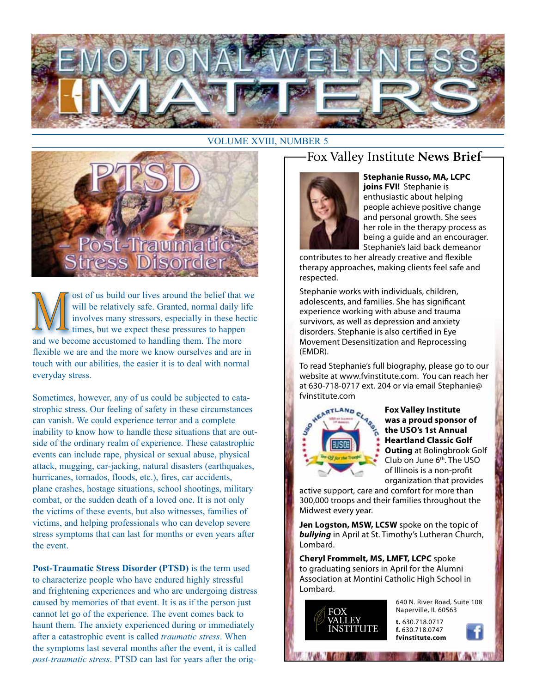

#### VOLUME XVIII, NUMBER 5



ost of us build our lives around the belief that we will be relatively safe. Granted, normal daily life involves many stressors, especially in these hectic times, but we expect these pressures to happen and we become accustomed to handling them. The more flexible we are and the more we know ourselves and are in touch with our abilities, the easier it is to deal with normal everyday stress.

Sometimes, however, any of us could be subjected to catastrophic stress. Our feeling of safety in these circumstances can vanish. We could experience terror and a complete inability to know how to handle these situations that are outside of the ordinary realm of experience. These catastrophic events can include rape, physical or sexual abuse, physical attack, mugging, car-jacking, natural disasters (earthquakes, hurricanes, tornados, floods, etc.), fires, car accidents, plane crashes, hostage situations, school shootings, military combat, or the sudden death of a loved one. It is not only the victims of these events, but also witnesses, families of victims, and helping professionals who can develop severe stress symptoms that can last for months or even years after the event.

**Post-Traumatic Stress Disorder (PTSD)** is the term used to characterize people who have endured highly stressful and frightening experiences and who are undergoing distress caused by memories of that event. It is as if the person just cannot let go of the experience. The event comes back to haunt them. The anxiety experienced during or immediately after a catastrophic event is called *traumatic stress*. When the symptoms last several months after the event, it is called *post-traumatic stress*. PTSD can last for years after the orig-

### Fox Valley Institute **News Brief**



**Stephanie Russo, MA, LCPC joins FVI!** Stephanie is enthusiastic about helping people achieve positive change and personal growth. She sees her role in the therapy process as being a guide and an encourager. Stephanie's laid back demeanor

contributes to her already creative and flexible therapy approaches, making clients feel safe and respected.

Stephanie works with individuals, children, adolescents, and families. She has significant experience working with abuse and trauma survivors, as well as depression and anxiety disorders. Stephanie is also certified in Eye Movement Desensitization and Reprocessing (EMDR).

To read Stephanie's full biography, please go to our website at www.fvinstitute.com. You can reach her at 630-718-0717 ext. 204 or via email Stephanie@ fvinstitute.com



**Fox Valley Institute was a proud sponsor of the USO's 1st Annual Heartland Classic Golf Outing** at Bolingbrook Golf Club on June 6th. The USO of Illinois is a non-profit organization that provides

active support, care and comfort for more than 300,000 troops and their families throughout the Midwest every year.

**Jen Logston, MSW, LCSW** spoke on the topic of *bullying* in April at St. Timothy's Lutheran Church, Lombard.

**Cheryl Frommelt, MS, LMFT, LCPC** spoke to graduating seniors in April for the Alumni Association at Montini Catholic High School in Lombard.



640 N. River Road, Suite 108 Naperville, IL 60563

**t.** 630.718.0717 **f.** 630.718.0747 **fvinstitute.com**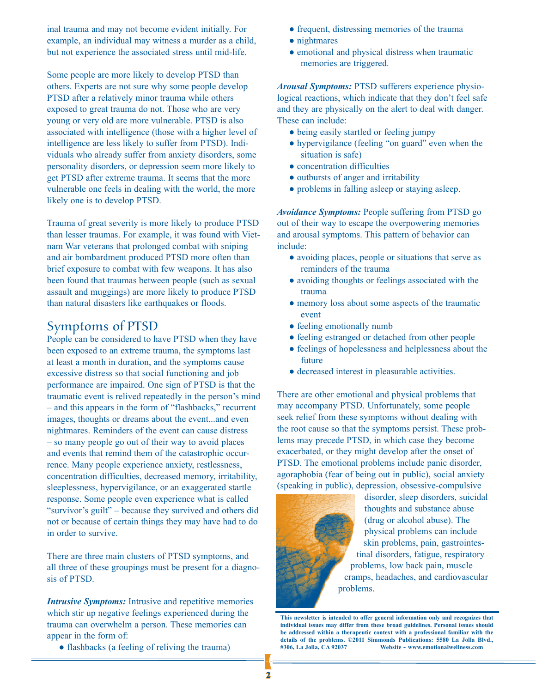inal trauma and may not become evident initially. For example, an individual may witness a murder as a child, but not experience the associated stress until mid-life.

Some people are more likely to develop PTSD than others. Experts are not sure why some people develop PTSD after a relatively minor trauma while others exposed to great trauma do not. Those who are very young or very old are more vulnerable. PTSD is also associated with intelligence (those with a higher level of intelligence are less likely to suffer from PTSD). Individuals who already suffer from anxiety disorders, some personality disorders, or depression seem more likely to get PTSD after extreme trauma. It seems that the more vulnerable one feels in dealing with the world, the more likely one is to develop PTSD.

Trauma of great severity is more likely to produce PTSD than lesser traumas. For example, it was found with Vietnam War veterans that prolonged combat with sniping and air bombardment produced PTSD more often than brief exposure to combat with few weapons. It has also been found that traumas between people (such as sexual assault and muggings) are more likely to produce PTSD than natural disasters like earthquakes or floods.

#### Symptoms of PTSD

People can be considered to have PTSD when they have been exposed to an extreme trauma, the symptoms last at least a month in duration, and the symptoms cause excessive distress so that social functioning and job performance are impaired. One sign of PTSD is that the traumatic event is relived repeatedly in the person's mind – and this appears in the form of "flashbacks," recurrent images, thoughts or dreams about the event...and even nightmares. Reminders of the event can cause distress – so many people go out of their way to avoid places and events that remind them of the catastrophic occurrence. Many people experience anxiety, restlessness, concentration difficulties, decreased memory, irritability, sleeplessness, hypervigilance, or an exaggerated startle response. Some people even experience what is called "survivor's guilt" – because they survived and others did not or because of certain things they may have had to do in order to survive.

There are three main clusters of PTSD symptoms, and all three of these groupings must be present for a diagnosis of PTSD.

*Intrusive Symptoms:* Intrusive and repetitive memories which stir up negative feelings experienced during the trauma can overwhelm a person. These memories can appear in the form of:

● flashbacks (a feeling of reliving the trauma)

- frequent, distressing memories of the trauma
- nightmares
- emotional and physical distress when traumatic memories are triggered.

*Arousal Symptoms:* PTSD sufferers experience physiological reactions, which indicate that they don't feel safe and they are physically on the alert to deal with danger. These can include:

- being easily startled or feeling jumpy
- hypervigilance (feeling "on guard" even when the situation is safe)
- concentration difficulties
- outbursts of anger and irritability
- problems in falling asleep or staying asleep.

*Avoidance Symptoms:* People suffering from PTSD go out of their way to escape the overpowering memories and arousal symptoms. This pattern of behavior can include:

- avoiding places, people or situations that serve as reminders of the trauma
- avoiding thoughts or feelings associated with the trauma
- memory loss about some aspects of the traumatic event
- feeling emotionally numb
- feeling estranged or detached from other people
- feelings of hopelessness and helplessness about the future
- decreased interest in pleasurable activities.

There are other emotional and physical problems that may accompany PTSD. Unfortunately, some people seek relief from these symptoms without dealing with the root cause so that the symptoms persist. These problems may precede PTSD, in which case they become exacerbated, or they might develop after the onset of PTSD. The emotional problems include panic disorder, agoraphobia (fear of being out in public), social anxiety (speaking in public), depression, obsessive-compulsive



disorder, sleep disorders, suicidal thoughts and substance abuse (drug or alcohol abuse). The physical problems can include skin problems, pain, gastrointestinal disorders, fatigue, respiratory problems, low back pain, muscle cramps, headaches, and cardiovascular problems.

**This newsletter is intended to offer general information only and recognizes that individual issues may differ from these broad guidelines. Personal issues should be addressed within a therapeutic context with a professional familiar with the details of the problems. ©2011 Simmonds Publications: 5580 La Jolla Blvd., #306, La Jolla, CA 92037 Website ~ www.emotionalwellness.com**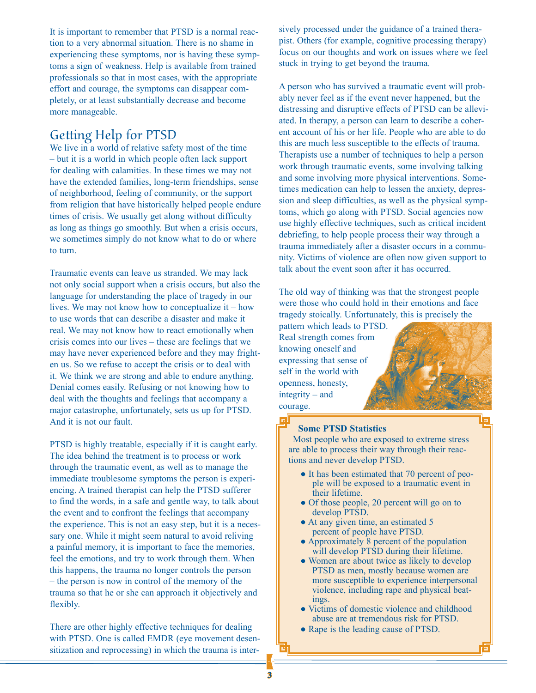It is important to remember that PTSD is a normal reaction to a very abnormal situation. There is no shame in experiencing these symptoms, nor is having these symptoms a sign of weakness. Help is available from trained professionals so that in most cases, with the appropriate effort and courage, the symptoms can disappear completely, or at least substantially decrease and become more manageable.

## Getting Help for PTSD

We live in a world of relative safety most of the time – but it is a world in which people often lack support for dealing with calamities. In these times we may not have the extended families, long-term friendships, sense of neighborhood, feeling of community, or the support from religion that have historically helped people endure times of crisis. We usually get along without difficulty as long as things go smoothly. But when a crisis occurs, we sometimes simply do not know what to do or where to turn.

Traumatic events can leave us stranded. We may lack not only social support when a crisis occurs, but also the language for understanding the place of tragedy in our lives. We may not know how to conceptualize it – how to use words that can describe a disaster and make it real. We may not know how to react emotionally when crisis comes into our lives – these are feelings that we may have never experienced before and they may frighten us. So we refuse to accept the crisis or to deal with it. We think we are strong and able to endure anything. Denial comes easily. Refusing or not knowing how to deal with the thoughts and feelings that accompany a major catastrophe, unfortunately, sets us up for PTSD. And it is not our fault.

PTSD is highly treatable, especially if it is caught early. The idea behind the treatment is to process or work through the traumatic event, as well as to manage the immediate troublesome symptoms the person is experiencing. A trained therapist can help the PTSD sufferer to find the words, in a safe and gentle way, to talk about the event and to confront the feelings that accompany the experience. This is not an easy step, but it is a necessary one. While it might seem natural to avoid reliving a painful memory, it is important to face the memories, feel the emotions, and try to work through them. When this happens, the trauma no longer controls the person – the person is now in control of the memory of the trauma so that he or she can approach it objectively and flexibly.

There are other highly effective techniques for dealing with PTSD. One is called EMDR (eye movement desensitization and reprocessing) in which the trauma is intersively processed under the guidance of a trained therapist. Others (for example, cognitive processing therapy) focus on our thoughts and work on issues where we feel stuck in trying to get beyond the trauma.

A person who has survived a traumatic event will probably never feel as if the event never happened, but the distressing and disruptive effects of PTSD can be alleviated. In therapy, a person can learn to describe a coherent account of his or her life. People who are able to do this are much less susceptible to the effects of trauma. Therapists use a number of techniques to help a person work through traumatic events, some involving talking and some involving more physical interventions. Sometimes medication can help to lessen the anxiety, depression and sleep difficulties, as well as the physical symptoms, which go along with PTSD. Social agencies now use highly effective techniques, such as critical incident debriefing, to help people process their way through a trauma immediately after a disaster occurs in a community. Victims of violence are often now given support to talk about the event soon after it has occurred.

The old way of thinking was that the strongest people were those who could hold in their emotions and face tragedy stoically. Unfortunately, this is precisely the

pattern which leads to PTSD. Real strength comes from knowing oneself and expressing that sense of self in the world with openness, honesty, integrity – and courage.



#### **Some PTSD Statistics**

Most people who are exposed to extreme stress are able to process their way through their reactions and never develop PTSD.

- It has been estimated that 70 percent of people will be exposed to a traumatic event in their lifetime.
- Of those people, 20 percent will go on to develop PTSD.
- At any given time, an estimated 5 percent of people have PTSD.
- Approximately 8 percent of the population will develop PTSD during their lifetime.
- Women are about twice as likely to develop PTSD as men, mostly because women are more susceptible to experience interpersonal violence, including rape and physical beatings.
- Victims of domestic violence and childhood abuse are at tremendous risk for PTSD.
- Rape is the leading cause of PTSD.